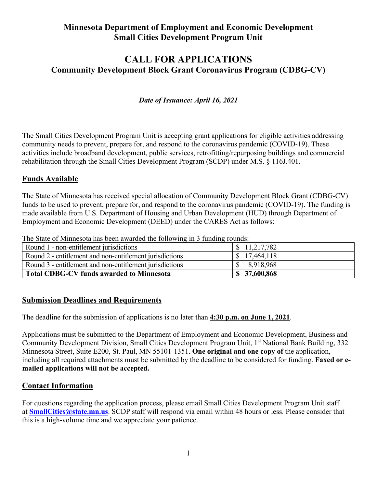## **Minnesota Department of Employment and Economic Development Small Cities Development Program Unit**

# **CALL FOR APPLICATIONS Community Development Block Grant Coronavirus Program (CDBG-CV)**

## *Date of Issuance: April 16, 2021*

The Small Cities Development Program Unit is accepting grant applications for eligible activities addressing community needs to prevent, prepare for, and respond to the coronavirus pandemic (COVID-19). These activities include broadband development, public services, retrofitting/repurposing buildings and commercial rehabilitation through the Small Cities Development Program (SCDP) under M.S. § 116J.401.

#### **Funds Available**

The State of Minnesota has received special allocation of Community Development Block Grant (CDBG-CV) funds to be used to prevent, prepare for, and respond to the coronavirus pandemic (COVID-19). The funding is made available from U.S. Department of Housing and Urban Development (HUD) through Department of Employment and Economic Development (DEED) under the CARES Act as follows:

The State of Minnesota has been awarded the following in 3 funding rounds:

| Round 1 - non-entitlement jurisdictions                 | \$11,217,782  |
|---------------------------------------------------------|---------------|
| Round 2 - entitlement and non-entitlement jurisdictions | 17,464,118    |
| Round 3 - entitlement and non-entitlement jurisdictions | 8,918,968     |
| <b>Total CDBG-CV funds awarded to Minnesota</b>         | \$ 37,600,868 |

#### **Submission Deadlines and Requirements**

The deadline for the submission of applications is no later than **4:30 p.m. on June 1, 2021**.

Applications must be submitted to the Department of Employment and Economic Development, Business and Community Development Division, Small Cities Development Program Unit, 1<sup>st</sup> National Bank Building, 332 Minnesota Street, Suite E200, St. Paul, MN 55101-1351. **One original and one copy of** the application, including all required attachments must be submitted by the deadline to be considered for funding. **Faxed or emailed applications will not be accepted.** 

#### **Contact Information**

For questions regarding the application process, please email Small Cities Development Program Unit staff at **[SmallCities@state.mn.us](mailto:SmallCities@state.mn.us)**. SCDP staff will respond via email within 48 hours or less. Please consider that this is a high-volume time and we appreciate your patience.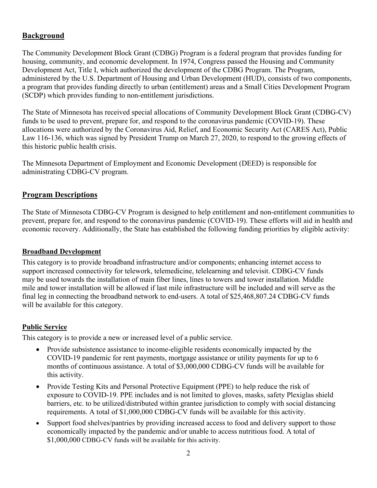## **Background**

The Community Development Block Grant (CDBG) Program is a federal program that provides funding for housing, community, and economic development. In 1974, Congress passed the Housing and Community Development Act, Title I, which authorized the development of the CDBG Program. The Program, administered by the U.S. Department of Housing and Urban Development (HUD), consists of two components, a program that provides funding directly to urban (entitlement) areas and a Small Cities Development Program (SCDP) which provides funding to non-entitlement jurisdictions.

The State of Minnesota has received special allocations of Community Development Block Grant (CDBG-CV) funds to be used to prevent, prepare for, and respond to the coronavirus pandemic (COVID-19). These allocations were authorized by the Coronavirus Aid, Relief, and Economic Security Act (CARES Act), Public Law 116-136, which was signed by President Trump on March 27, 2020, to respond to the growing effects of this historic public health crisis.

The Minnesota Department of Employment and Economic Development (DEED) is responsible for administrating CDBG-CV program.

## **Program Descriptions**

The State of Minnesota CDBG-CV Program is designed to help entitlement and non-entitlement communities to prevent, prepare for, and respond to the coronavirus pandemic (COVID-19). These efforts will aid in health and economic recovery. Additionally, the State has established the following funding priorities by eligible activity:

#### **Broadband Development**

This category is to provide broadband infrastructure and/or components; enhancing internet access to support increased connectivity for telework, telemedicine, telelearning and televisit. CDBG-CV funds may be used towards the installation of main fiber lines, lines to towers and tower installation. Middle mile and tower installation will be allowed if last mile infrastructure will be included and will serve as the final leg in connecting the broadband network to end-users. A total of \$25,468,807.24 CDBG-CV funds will be available for this category.

#### **Public Service**

This category is to provide a new or increased level of a public service.

- Provide subsistence assistance to income-eligible residents economically impacted by the COVID-19 pandemic for rent payments, mortgage assistance or utility payments for up to 6 months of continuous assistance. A total of \$3,000,000 CDBG-CV funds will be available for this activity.
- Provide Testing Kits and Personal Protective Equipment (PPE) to help reduce the risk of exposure to COVID-19. PPE includes and is not limited to gloves, masks, safety Plexiglas shield barriers, etc. to be utilized/distributed within grantee jurisdiction to comply with social distancing requirements. A total of \$1,000,000 CDBG-CV funds will be available for this activity.
- Support food shelves/pantries by providing increased access to food and delivery support to those economically impacted by the pandemic and/or unable to access nutritious food. A total of \$1,000,000 CDBG-CV funds will be available for this activity.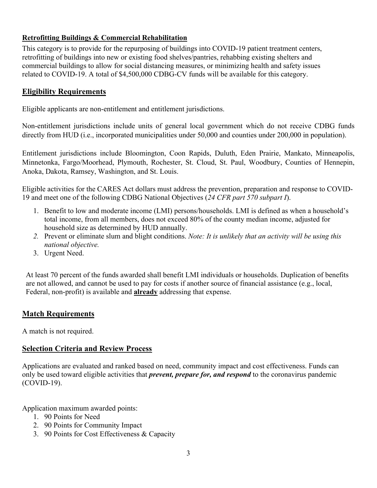## **Retrofitting Buildings & Commercial Rehabilitation**

This category is to provide for the repurposing of buildings into COVID-19 patient treatment centers, retrofitting of buildings into new or existing food shelves/pantries, rehabbing existing shelters and commercial buildings to allow for social distancing measures, or minimizing health and safety issues related to COVID-19. A total of \$4,500,000 CDBG-CV funds will be available for this category.

## **Eligibility Requirements**

Eligible applicants are non-entitlement and entitlement jurisdictions.

Non-entitlement jurisdictions include units of general local government which do not receive CDBG funds directly from HUD (i.e., incorporated municipalities under 50,000 and counties under 200,000 in population).

Entitlement jurisdictions include Bloomington, Coon Rapids, Duluth, Eden Prairie, Mankato, Minneapolis, Minnetonka, Fargo/Moorhead, Plymouth, Rochester, St. Cloud, St. Paul, Woodbury, Counties of Hennepin, Anoka, Dakota, Ramsey, Washington, and St. Louis.

Eligible activities for the CARES Act dollars must address the prevention, preparation and response to COVID-19 and meet one of the following CDBG National Objectives (*24 CFR part 570 subpart I*).

- 1. Benefit to low and moderate income (LMI) persons/households. LMI is defined as when a household's total income, from all members, does not exceed 80% of the county median income, adjusted for household size as determined by HUD annually.
- *2.* Prevent or eliminate slum and blight conditions. *Note: It is unlikely that an activity will be using this national objective.*
- 3. Urgent Need.

At least 70 percent of the funds awarded shall benefit LMI individuals or households. Duplication of benefits are not allowed, and cannot be used to pay for costs if another source of financial assistance (e.g., local, Federal, non-profit) is available and **already** addressing that expense.

## **Match Requirements**

A match is not required.

## **Selection Criteria and Review Process**

Applications are evaluated and ranked based on need, community impact and cost effectiveness. Funds can only be used toward eligible activities that *prevent, prepare for, and respond* to the coronavirus pandemic (COVID-19).

Application maximum awarded points:

- 1. 90 Points for Need
- 2. 90 Points for Community Impact
- 3. 90 Points for Cost Effectiveness & Capacity